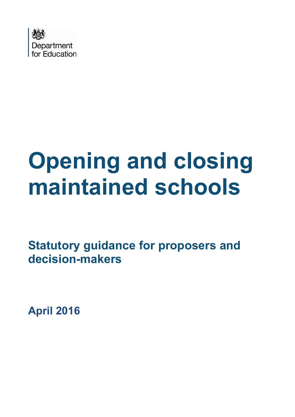

# **Opening and closing maintained schools**

**Statutory guidance for proposers and decision-makers**

**April 2016**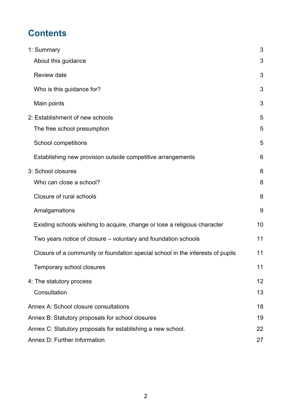# **Contents**

| 1: Summary                                                                     | 3  |
|--------------------------------------------------------------------------------|----|
| About this guidance                                                            | 3  |
| Review date                                                                    | 3  |
| Who is this guidance for?                                                      | 3  |
| Main points                                                                    | 3  |
| 2: Establishment of new schools                                                | 5  |
| The free school presumption                                                    | 5  |
| School competitions                                                            | 5  |
| Establishing new provision outside competitive arrangements                    | 6  |
| 3: School closures                                                             | 8  |
| Who can close a school?                                                        | 8  |
| Closure of rural schools                                                       | 8  |
| Amalgamations                                                                  | 9  |
| Existing schools wishing to acquire, change or lose a religious character      | 10 |
| Two years notice of closure – voluntary and foundation schools                 | 11 |
| Closure of a community or foundation special school in the interests of pupils | 11 |
| Temporary school closures                                                      | 11 |
| 4: The statutory process                                                       | 12 |
| Consultation                                                                   | 13 |
| Annex A: School closure consultations                                          | 18 |
| Annex B: Statutory proposals for school closures                               | 19 |
| Annex C: Statutory proposals for establishing a new school.                    | 22 |
| Annex D: Further Information                                                   | 27 |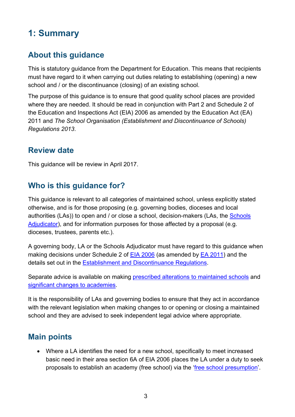# <span id="page-2-0"></span>**1: Summary**

## <span id="page-2-1"></span>**About this guidance**

This is statutory guidance from the Department for Education. This means that recipients must have regard to it when carrying out duties relating to establishing (opening) a new school and / or the discontinuance (closing) of an existing school.

The purpose of this guidance is to ensure that good quality school places are provided where they are needed. It should be read in conjunction with Part 2 and Schedule 2 of the Education and Inspections Act (EIA) 2006 as amended by the Education Act (EA) 2011 and *The School Organisation (Establishment and Discontinuance of Schools) Regulations 2013*.

## <span id="page-2-2"></span>**Review date**

This guidance will be review in April 2017.

## <span id="page-2-3"></span>**Who is this guidance for?**

This guidance is relevant to all categories of maintained school, unless explicitly stated otherwise, and is for those proposing (e.g. governing bodies, dioceses and local authorities (LAs)) to open and / or close a school, decision-makers (LAs, the [Schools](https://www.gov.uk/government/organisations/office-of-the-schools-adjudicator)  [Adjudicator\)](https://www.gov.uk/government/organisations/office-of-the-schools-adjudicator), and for information purposes for those affected by a proposal (e.g. dioceses, trustees, parents etc.).

A governing body, LA or the Schools Adjudicator must have regard to this guidance when making decisions under Schedule 2 of [EIA 2006](http://www.legislation.gov.uk/ukpga/2006/40/contents) (as amended by [EA 2011\)](http://www.legislation.gov.uk/ukpga/2011/21/contents) and the details set out in the [Establishment and Discontinuance Regulations.](http://www.legislation.gov.uk/uksi/2013/3109/contents/made)

Separate advice is available on making [prescribed alterations to maintained schools](https://www.gov.uk/government/publications/school-organisation-maintained-schools) and [significant changes to academies.](https://www.gov.uk/government/publications/making-significant-changes-to-an-existing-academy)

It is the responsibility of LAs and governing bodies to ensure that they act in accordance with the relevant legislation when making changes to or opening or closing a maintained school and they are advised to seek independent legal advice where appropriate.

## <span id="page-2-4"></span>**Main points**

• Where a LA identifies the need for a new school, specifically to meet increased basic need in their area section 6A of EIA 2006 places the LA under a duty to seek proposals to establish an academy (free school) via the ['free school presumption'.](https://www.gov.uk/government/publications/establishing-a-new-school-free-school-presumption)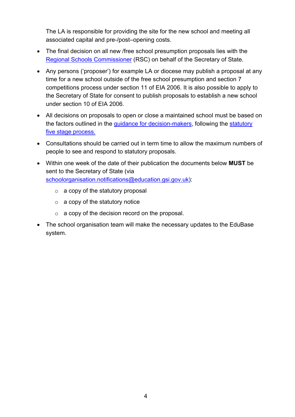The LA is responsible for providing the site for the new school and meeting all associated capital and pre-/post–opening costs.

- The final decision on all new /free school presumption proposals lies with the [Regional Schools Commissioner](https://www.gov.uk/government/organisations/schools-commissioners-group) (RSC) on behalf of the Secretary of State.
- Any persons ('proposer') for example LA or diocese may publish a proposal at any time for a new school outside of the free school presumption and section 7 competitions process under section 11 of EIA 2006. It is also possible to apply to the Secretary of State for consent to publish proposals to establish a new school under section 10 of EIA 2006.
- All decisions on proposals to open or close a maintained school must be based on the factors outlined in the [guidance for decision-makers,](https://www.gov.uk/government/publications/school-organisation-maintained-schools) following the [statutory](#page-11-0)  [five stage process.](#page-11-0)
- Consultations should be carried out in term time to allow the maximum numbers of people to see and respond to statutory proposals.
- Within one week of the date of their publication the documents below **MUST** be sent to the Secretary of State (via [schoolorganisation.notifications@education.gsi.gov.uk\)](mailto:schoolorganisation.notifications@education.gsi.gov.uk):
	- $\circ$  a copy of the statutory proposal
	- $\circ$  a copy of the statutory notice
	- $\circ$  a copy of the decision record on the proposal.
- The school organisation team will make the necessary updates to the EduBase system.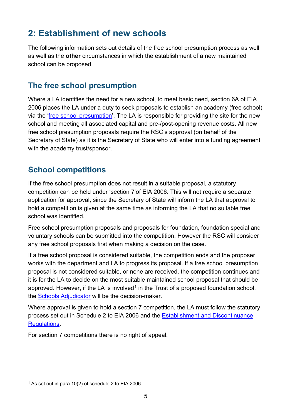# <span id="page-4-0"></span>**2: Establishment of new schools**

The following information sets out details of the free school presumption process as well as well as the **other** circumstances in which the establishment of a new maintained school can be proposed.

## <span id="page-4-1"></span>**The free school presumption**

Where a LA identifies the need for a new school, to meet basic need, section 6A of EIA 2006 places the LA under a duty to seek proposals to establish an academy (free school) via the ['free school presumption'](https://www.gov.uk/government/publications/establishing-a-new-school-free-school-presumption). The LA is responsible for providing the site for the new school and meeting all associated capital and pre-/post-opening revenue costs. All new free school presumption proposals require the RSC's approval (on behalf of the Secretary of State) as it is the Secretary of State who will enter into a funding agreement with the academy trust/sponsor.

## <span id="page-4-2"></span>**School competitions**

If the free school presumption does not result in a suitable proposal, a statutory competition can be held under 'section 7'of EIA 2006. This will not require a separate application for approval, since the Secretary of State will inform the LA that approval to hold a competition is given at the same time as informing the LA that no suitable free school was identified.

Free school presumption proposals and proposals for foundation, foundation special and voluntary schools can be submitted into the competition. However the RSC will consider any free school proposals first when making a decision on the case.

If a free school proposal is considered suitable, the competition ends and the proposer works with the department and LA to progress its proposal. If a free school presumption proposal is not considered suitable, or none are received, the competition continues and it is for the LA to decide on the most suitable maintained school proposal that should be approved. However, if the LA is involved<sup>[1](#page-4-3)</sup> in the Trust of a proposed foundation school, the [Schools Adjudicator](https://www.gov.uk/government/organisations/office-of-the-schools-adjudicator) will be the decision-maker.

Where approval is given to hold a section 7 competition, the LA must follow the statutory process set out in Schedule 2 to EIA 2006 and the [Establishment and Discontinuance](http://www.legislation.gov.uk/uksi/2013/3109/contents/made)  [Regulations.](http://www.legislation.gov.uk/uksi/2013/3109/contents/made)

For section 7 competitions there is no right of appeal.

<span id="page-4-3"></span> $1$  As set out in para 10(2) of schedule 2 to EIA 2006  $\overline{a}$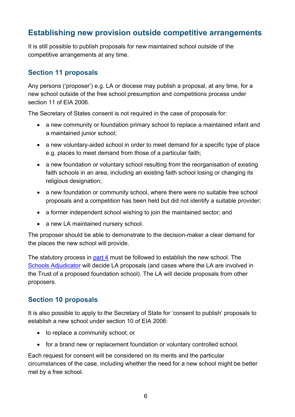## <span id="page-5-0"></span>**Establishing new provision outside competitive arrangements**

It is still possible to publish proposals for new maintained school outside of the competitive arrangements at any time.

#### **Section 11 proposals**

Any persons ('proposer') e.g. LA or diocese may publish a proposal, at any time, for a new school outside of the free school presumption and competitions process under section 11 of EIA 2006.

The Secretary of States consent is not required in the case of proposals for:

- a new community or foundation primary school to replace a maintained infant and a maintained junior school;
- a new voluntary-aided school in order to meet demand for a specific type of place e.g. places to meet demand from those of a particular faith;
- a new foundation or voluntary school resulting from the reorganisation of existing faith schools in an area, including an existing faith school losing or changing its religious designation;
- a new foundation or community school, where there were no suitable free school proposals and a competition has been held but did not identify a suitable provider;
- a former independent school wishing to join the maintained sector; and
- a new LA maintained nursery school.

The proposer should be able to demonstrate to the decision-maker a clear demand for the places the new school will provide.

The statutory process in [part 4](#page-11-0) must be followed to establish the new school. The [Schools Adjudicator](https://www.gov.uk/government/organisations/office-of-the-schools-adjudicator) will decide LA proposals (and cases where the LA are involved in the Trust of a proposed foundation school). The LA will decide proposals from other proposers.

#### **Section 10 proposals**

It is also possible to apply to the Secretary of State for 'consent to publish' proposals to establish a new school under section 10 of EIA 2006:

- to replace a community school; or
- for a brand new or replacement foundation or voluntary controlled school.

Each request for consent will be considered on its merits and the particular circumstances of the case, including whether the need for a new school might be better met by a free school.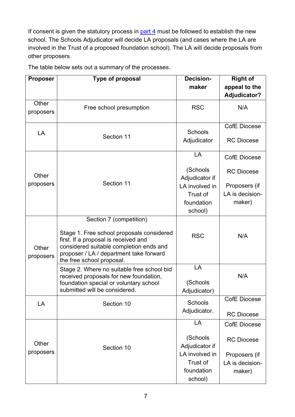If consent is given the statutory process in  $part 4$  must be followed to establish the new school. The Schools Adjudicator will decide LA proposals (and cases where the LA are involved in the Trust of a proposed foundation school). The LA will decide proposals from other proposers.

| <b>Proposer</b>    | Type of proposal                                                                                                                                                                                                                | <b>Decision-</b>                                                      | <b>Right of</b>                            |
|--------------------|---------------------------------------------------------------------------------------------------------------------------------------------------------------------------------------------------------------------------------|-----------------------------------------------------------------------|--------------------------------------------|
|                    |                                                                                                                                                                                                                                 | maker                                                                 | appeal to the                              |
| Other<br>proposers | Free school presumption                                                                                                                                                                                                         | <b>RSC</b>                                                            | <b>Adjudicator?</b><br>N/A                 |
| LA                 | Section 11                                                                                                                                                                                                                      | <b>Schools</b><br>Adjudicator                                         | <b>CofE Diocese</b><br><b>RC Diocese</b>   |
|                    |                                                                                                                                                                                                                                 | LA<br>(Schools                                                        | <b>CofE Diocese</b><br><b>RC Diocese</b>   |
| Other<br>proposers | Section 11                                                                                                                                                                                                                      | Adjudicator if<br>LA involved in<br>Trust of<br>foundation<br>school) | Proposers (if<br>LA is decision-<br>maker) |
| Other<br>proposers | Section 7 (competition)<br>Stage 1. Free school proposals considered<br>first. If a proposal is received and<br>considered suitable completion ends and<br>proposer / LA / department take forward<br>the free school proposal. | <b>RSC</b>                                                            | N/A                                        |
|                    | Stage 2. Where no suitable free school bid<br>received proposals for new foundation,<br>foundation special or voluntary school<br>submitted will be considered.                                                                 | LA<br>(Schools<br>Adjudicator)                                        | N/A                                        |
| LA                 | Section 10                                                                                                                                                                                                                      | Schools<br>Adjudicator.                                               | <b>CofE Diocese</b><br><b>RC Diocese</b>   |
|                    |                                                                                                                                                                                                                                 | LA                                                                    | <b>CofE Diocese</b>                        |
| Other<br>proposers | Section 10                                                                                                                                                                                                                      | (Schools<br>Adjudicator if<br>LA involved in                          | <b>RC Diocese</b>                          |
|                    |                                                                                                                                                                                                                                 | Trust of<br>foundation<br>school)                                     | Proposers (if<br>LA is decision-<br>maker) |

The table below sets out a summary of the processes.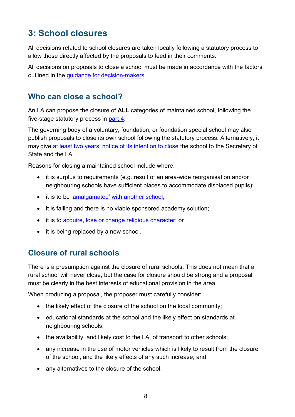# <span id="page-7-0"></span>**3: School closures**

All decisions related to school closures are taken locally following a statutory process to allow those directly affected by the proposals to feed in their comments.

All decisions on proposals to close a school must be made in accordance with the factors outlined in the [guidance for decision-makers.](https://www.gov.uk/government/publications/school-organisation-maintained-schools)

#### <span id="page-7-1"></span>**Who can close a school?**

An LA can propose the closure of **ALL** categories of maintained school, following the five-stage statutory process in [part 4.](#page-11-0)

The governing body of a voluntary, foundation, or foundation special school may also publish proposals to close its own school following the statutory process. Alternatively, it may give [at least two years' notice of its](#page-9-1) intention to close the school to the Secretary of State and the LA.

Reasons for closing a maintained school include where:

- it is surplus to requirements (e.g. result of an area-wide reorganisation and/or neighbouring schools have sufficient places to accommodate displaced pupils);
- it is to be 'amalgamated' [with another school;](#page-8-0)
- it is failing and there is no viable sponsored academy solution;
- it is to [acquire, lose or change religious character;](#page-9-0) or
- it is being replaced by a new school.

#### <span id="page-7-2"></span>**Closure of rural schools**

There is a presumption against the closure of rural schools. This does not mean that a rural school will never close, but the case for closure should be strong and a proposal must be clearly in the best interests of educational provision in the area.

When producing a proposal, the proposer must carefully consider:

- the likely effect of the closure of the school on the local community;
- educational standards at the school and the likely effect on standards at neighbouring schools;
- the availability, and likely cost to the LA, of transport to other schools;
- any increase in the use of motor vehicles which is likely to result from the closure of the school, and the likely effects of any such increase; and
- any alternatives to the closure of the school.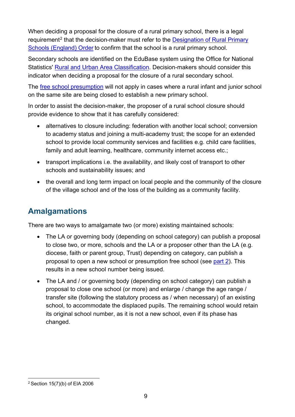When deciding a proposal for the closure of a rural primary school, there is a legal requirement<sup>[2](#page-8-1)</sup> that the decision-maker must refer to the Designation of Rural Primary [Schools \(England\) Order](https://www.gov.uk/government/publications/rural-primary-schools-designation) to confirm that the school is a rural primary school.

Secondary schools are identified on the EduBase system using the Office for National Statistics' [Rural and Urban Area Classification.](https://www.gov.uk/government/collections/rural-urban-definition) Decision-makers should consider this indicator when deciding a proposal for the closure of a rural secondary school.

The [free school presumption](https://www.gov.uk/government/publications/establishing-a-new-school-free-school-presumption) will not apply in cases where a rural infant and junior school on the same site are being closed to establish a new primary school.

In order to assist the decision-maker, the proposer of a rural school closure should provide evidence to show that it has carefully considered:

- alternatives to closure including: federation with another local school; conversion to academy status and joining a multi-academy trust; the scope for an extended school to provide local community services and facilities e.g. child care facilities, family and adult learning, healthcare, community internet access etc.;
- transport implications i.e. the availability, and likely cost of transport to other schools and sustainability issues; and
- the overall and long term impact on local people and the community of the closure of the village school and of the loss of the building as a community facility.

## <span id="page-8-0"></span>**Amalgamations**

There are two ways to amalgamate two (or more) existing maintained schools:

- The LA or governing body (depending on school category) can publish a proposal to close two, or more, schools and the LA or a proposer other than the LA (e.g. diocese, faith or parent group, Trust) depending on category, can publish a proposal to open a new school or presumption free school (see [part 2\)](#page-4-0). This results in a new school number being issued.
- The LA and / or governing body (depending on school category) can publish a proposal to close one school (or more) and enlarge / change the age range / transfer site (following the statutory process as / when necessary) of an existing school, to accommodate the displaced pupils. The remaining school would retain its original school number, as it is not a new school, even if its phase has changed.

<span id="page-8-1"></span><sup>2</sup> Section 15(7)(b) of EIA 2006  $\overline{a}$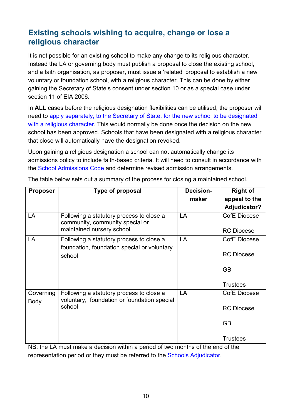### <span id="page-9-0"></span>**Existing schools wishing to acquire, change or lose a religious character**

It is not possible for an existing school to make any change to its religious character. Instead the LA or governing body must publish a proposal to close the existing school, and a faith organisation, as proposer, must issue a 'related' proposal to establish a new voluntary or foundation school, with a religious character. This can be done by either gaining the Secretary of State's consent under section 10 or as a special case under section 11 of EIA 2006.

In **ALL** cases before the religious designation flexibilities can be utilised, the proposer will need to [apply separately, to the Secretary of State, for](https://www.gov.uk/guidance/religious-character-designation-guide-to-applying%23application) the new school to be designated [with a religious character.](https://www.gov.uk/guidance/religious-character-designation-guide-to-applying%23application) This would normally be done once the decision on the new school has been approved. Schools that have been designated with a religious character that close will automatically have the designation revoked.

Upon gaining a religious designation a school can not automatically change its admissions policy to include faith-based criteria. It will need to consult in accordance with the [School Admissions Code](https://www.gov.uk/government/publications/school-admissions-code--2) and determine revised admission arrangements.

| <b>Proposer</b>   | <b>Type of proposal</b>                                                                           | Decision- | <b>Right of</b>     |
|-------------------|---------------------------------------------------------------------------------------------------|-----------|---------------------|
|                   |                                                                                                   | maker     | appeal to the       |
|                   |                                                                                                   |           | Adjudicator?        |
| LA                | Following a statutory process to close a<br>community, community special or                       | LA        | CofE Diocese        |
|                   | maintained nursery school                                                                         |           | <b>RC Diocese</b>   |
| LA                | Following a statutory process to close a<br>foundation, foundation special or voluntary           | LA        | <b>CofE Diocese</b> |
|                   | school                                                                                            |           | <b>RC Diocese</b>   |
|                   |                                                                                                   |           | <b>GB</b>           |
|                   |                                                                                                   |           | <b>Trustees</b>     |
| Governing<br>Body | Following a statutory process to close a<br>voluntary, foundation or foundation special<br>school | LA        | CofE Diocese        |
|                   |                                                                                                   |           | <b>RC Diocese</b>   |
|                   |                                                                                                   |           | <b>GB</b>           |
|                   |                                                                                                   |           | <b>Trustees</b>     |

<span id="page-9-1"></span>The table below sets out a summary of the process for closing a maintained school.

NB: the LA must make a decision within a period of two months of the end of the representation period or they must be referred to the [Schools Adjudicator.](https://www.gov.uk/government/organisations/office-of-the-schools-adjudicator)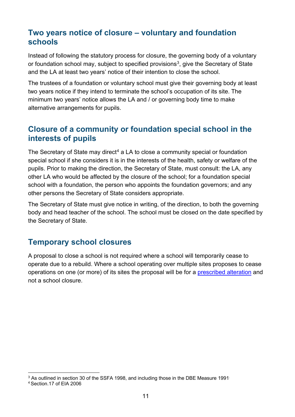#### <span id="page-10-0"></span>**Two years notice of closure – voluntary and foundation schools**

Instead of following the statutory process for closure, the governing body of a voluntary or foundation school may, subject to specified provisions<sup>3</sup>, give the Secretary of State and the LA at least two years' notice of their intention to close the school.

The trustees of a foundation or voluntary school must give their governing body at least two years notice if they intend to terminate the school's occupation of its site. The minimum two years' notice allows the LA and / or governing body time to make alternative arrangements for pupils.

#### <span id="page-10-1"></span>**Closure of a community or foundation special school in the interests of pupils**

The Secretary of State may direct<sup>[4](#page-10-4)</sup> a LA to close a community special or foundation special school if she considers it is in the interests of the health, safety or welfare of the pupils. Prior to making the direction, the Secretary of State, must consult: the LA, any other LA who would be affected by the closure of the school; for a foundation special school with a foundation, the person who appoints the foundation governors; and any other persons the Secretary of State considers appropriate.

The Secretary of State must give notice in writing, of the direction, to both the governing body and head teacher of the school. The school must be closed on the date specified by the Secretary of State.

#### <span id="page-10-2"></span>**Temporary school closures**

A proposal to close a school is not required where a school will temporarily cease to operate due to a rebuild. Where a school operating over multiple sites proposes to cease operations on one (or more) of its sites the proposal will be for a [prescribed alteration](https://www.gov.uk/government/publications/school-organisation-maintained-schools) and not a school closure.

<sup>&</sup>lt;sup>3</sup> As outlined in section 30 of the SSFA 1998, and including those in the DBE Measure 1991  $\overline{a}$ 

<span id="page-10-4"></span><span id="page-10-3"></span><sup>4</sup> Section.17 of EIA 2006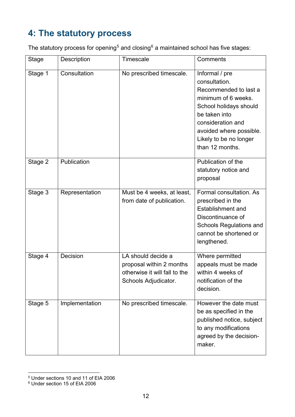# <span id="page-11-0"></span>**4: The statutory process**

The statutory process for opening<sup>[5](#page-11-1)</sup> and closing<sup>[6](#page-11-2)</sup> a maintained school has five stages:

| <b>Stage</b> | Description    | Timescale                                                                                               | Comments                                                                                                                                                                                                                |
|--------------|----------------|---------------------------------------------------------------------------------------------------------|-------------------------------------------------------------------------------------------------------------------------------------------------------------------------------------------------------------------------|
| Stage 1      | Consultation   | No prescribed timescale.                                                                                | Informal / pre<br>consultation.<br>Recommended to last a<br>minimum of 6 weeks.<br>School holidays should<br>be taken into<br>consideration and<br>avoided where possible.<br>Likely to be no longer<br>than 12 months. |
| Stage 2      | Publication    |                                                                                                         | Publication of the<br>statutory notice and<br>proposal                                                                                                                                                                  |
| Stage 3      | Representation | Must be 4 weeks, at least,<br>from date of publication.                                                 | Formal consultation. As<br>prescribed in the<br><b>Establishment and</b><br>Discontinuance of<br><b>Schools Regulations and</b><br>cannot be shortened or<br>lengthened.                                                |
| Stage 4      | Decision       | LA should decide a<br>proposal within 2 months<br>otherwise it will fall to the<br>Schools Adjudicator. | Where permitted<br>appeals must be made<br>within 4 weeks of<br>notification of the<br>decision.                                                                                                                        |
| Stage 5      | Implementation | No prescribed timescale.                                                                                | However the date must<br>be as specified in the<br>published notice, subject<br>to any modifications<br>agreed by the decision-<br>maker.                                                                               |

<sup>5</sup> Under sections 10 and 11 of EIA 2006  $\overline{a}$ 

<span id="page-11-2"></span><span id="page-11-1"></span> $^6$  Under section 15 of EIA 2006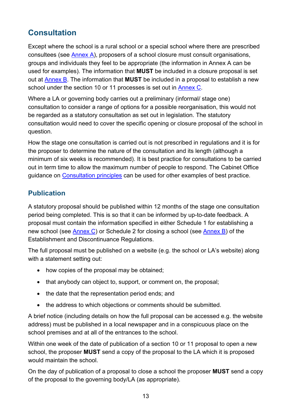## <span id="page-12-0"></span>**Consultation**

Except where the school is a rural school or a special school where there are prescribed consultees (see [Annex A\)](#page-17-0), proposers of a school closure must consult organisations, groups and individuals they feel to be appropriate (the information in Annex A can be used for examples). The information that **MUST** be included in a closure proposal is set out at [Annex B.](#page-18-0) The information that **MUST** be included in a proposal to establish a new school under the section 10 or 11 processes is set out in [Annex C.](#page-21-0)

Where a LA or governing body carries out a preliminary (informal/ stage one) consultation to consider a range of options for a possible reorganisation, this would not be regarded as a statutory consultation as set out in legislation. The statutory consultation would need to cover the specific opening or closure proposal of the school in question.

How the stage one consultation is carried out is not prescribed in regulations and it is for the proposer to determine the nature of the consultation and its length (although a minimum of six weeks is recommended). It is best practice for consultations to be carried out in term time to allow the maximum number of people to respond. The Cabinet Office guidance on [Consultation principles](https://www.gov.uk/government/publications/consultation-principles-guidance) can be used for other examples of best practice.

#### <span id="page-12-1"></span>**Publication**

A statutory proposal should be published within 12 months of the stage one consultation period being completed. This is so that it can be informed by up-to-date feedback. A proposal must contain the information specified in either Schedule 1 for establishing a new school (see [Annex C\)](#page-21-0) or Schedule 2 for closing a school (see [Annex B\)](#page-18-0) of the Establishment and Discontinuance Regulations.

The full proposal must be published on a website (e.g. the school or LA's website) along with a statement setting out:

- how copies of the proposal may be obtained;
- that anybody can object to, support, or comment on, the proposal;
- the date that the representation period ends; and
- the address to which objections or comments should be submitted.

A brief notice (including details on how the full proposal can be accessed e.g. the website address) must be published in a local newspaper and in a conspicuous place on the school premises and at all of the entrances to the school.

Within one week of the date of publication of a section 10 or 11 proposal to open a new school, the proposer **MUST** send a copy of the proposal to the LA which it is proposed would maintain the school.

On the day of publication of a proposal to close a school the proposer **MUST** send a copy of the proposal to the governing body/LA (as appropriate).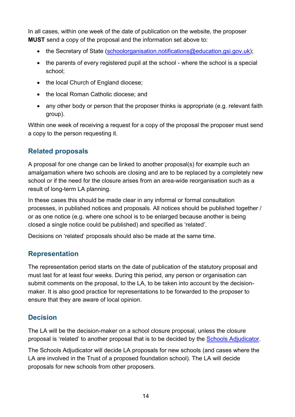In all cases, within one week of the date of publication on the website, the proposer **MUST** send a copy of the proposal and the information set above to:

- the Secretary of State [\(schoolorganisation.notifications@education.gsi.gov.uk\)](mailto:schoolorganisation.notifications@education.gsi.gov.uk);
- the parents of every registered pupil at the school where the school is a special school;
- the local Church of England diocese;
- the local Roman Catholic diocese; and
- any other body or person that the proposer thinks is appropriate (e.g. relevant faith group).

Within one week of receiving a request for a copy of the proposal the proposer must send a copy to the person requesting it.

#### **Related proposals**

A proposal for one change can be linked to another proposal(s) for example such an amalgamation where two schools are closing and are to be replaced by a completely new school or if the need for the closure arises from an area-wide reorganisation such as a result of long-term LA planning.

In these cases this should be made clear in any informal or formal consultation processes, in published notices and proposals. All notices should be published together / or as one notice (e.g. where one school is to be enlarged because another is being closed a single notice could be published) and specified as 'related'.

Decisions on 'related' proposals should also be made at the same time.

#### **Representation**

The representation period starts on the date of publication of the statutory proposal and must last for at least four weeks. During this period, any person or organisation can submit comments on the proposal, to the LA, to be taken into account by the decisionmaker. It is also good practice for representations to be forwarded to the proposer to ensure that they are aware of local opinion.

#### **Decision**

The LA will be the decision-maker on a school closure proposal, unless the closure proposal is 'related' to another proposal that is to be decided by the [Schools Adjudicator.](https://www.gov.uk/government/organisations/office-of-the-schools-adjudicator)

The Schools Adjudicator will decide LA proposals for new schools (and cases where the LA are involved in the Trust of a proposed foundation school). The LA will decide proposals for new schools from other proposers.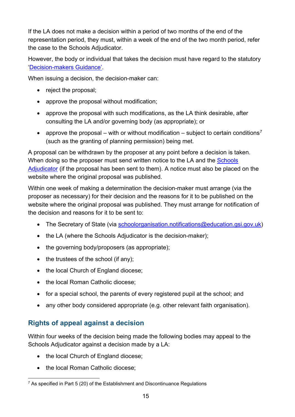If the LA does not make a decision within a period of two months of the end of the representation period, they must, within a week of the end of the two month period, refer the case to the Schools Adjudicator.

However, the body or individual that takes the decision must have regard to the statutory ['Decision-makers Guidance'.](https://www.gov.uk/government/publications/school-organisation-maintained-schools)

When issuing a decision, the decision-maker can:

- reject the proposal;
- approve the proposal without modification;
- approve the proposal with such modifications, as the LA think desirable, after consulting the LA and/or governing body (as appropriate); or
- approve the proposal with or without modification subject to certain conditions<sup>[7](#page-14-0)</sup> (such as the granting of planning permission) being met.

A proposal can be withdrawn by the proposer at any point before a decision is taken. When doing so the proposer must send written notice to the LA and the Schools [Adjudicator](https://www.gov.uk/government/organisations/office-of-the-schools-adjudicator) (if the proposal has been sent to them). A notice must also be placed on the website where the original proposal was published.

Within one week of making a determination the decision-maker must arrange (via the proposer as necessary) for their decision and the reasons for it to be published on the website where the original proposal was published. They must arrange for notification of the decision and reasons for it to be sent to:

- The Secretary of State (via [schoolorganisation.notifications@education.gsi.gov.uk\)](mailto:schoolorganisation.notifications@education.gsi.gov.uk)
- the LA (where the Schools Adjudicator is the decision-maker);
- the governing body/proposers (as appropriate);
- the trustees of the school (if any);
- the local Church of England diocese;
- the local Roman Catholic diocese:
- for a special school, the parents of every registered pupil at the school; and
- any other body considered appropriate (e.g. other relevant faith organisation).

#### <span id="page-14-1"></span>**Rights of appeal against a decision**

Within four weeks of the decision being made the following bodies may appeal to the Schools Adjudicator against a decision made by a LA:

- the local Church of England diocese;
- the local Roman Catholic diocese:

<span id="page-14-0"></span> $7$  As specified in Part 5 (20) of the Establishment and Discontinuance Regulations  $\overline{a}$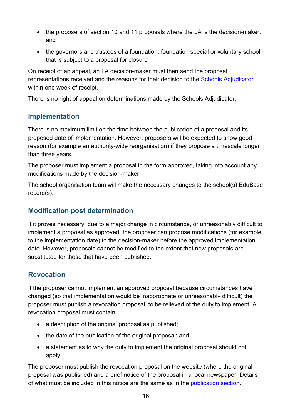- the proposers of section 10 and 11 proposals where the LA is the decision-maker; and
- the governors and trustees of a foundation, foundation special or voluntary school that is subject to a proposal for closure

On receipt of an appeal, an LA decision-maker must then send the proposal, representations received and the reasons for their decision to the [Schools Adjudicator](https://www.gov.uk/government/organisations/office-of-the-schools-adjudicator) within one week of receipt.

There is no right of appeal on determinations made by the Schools Adjudicator.

#### **Implementation**

There is no maximum limit on the time between the publication of a proposal and its proposed date of implementation. However, proposers will be expected to show good reason (for example an authority-wide reorganisation) if they propose a timescale longer than three years.

The proposer must implement a proposal in the form approved, taking into account any modifications made by the decision-maker.

The school organisation team will make the necessary changes to the school(s) EduBase record(s).

#### **Modification post determination**

If it proves necessary, due to a major change in circumstance, or unreasonably difficult to implement a proposal as approved, the proposer can propose modifications (for example to the implementation date) to the decision-maker before the approved implementation date. However, proposals cannot be modified to the extent that new proposals are substituted for those that have been published.

#### **Revocation**

If the proposer cannot implement an approved proposal because circumstances have changed (so that implementation would be inappropriate or unreasonably difficult) the proposer must publish a revocation proposal, to be relieved of the duty to implement. A revocation proposal must contain:

- a description of the original proposal as published:
- the date of the publication of the original proposal; and
- a statement as to why the duty to implement the original proposal should not apply.

The proposer must publish the revocation proposal on the website (where the original proposal was published) and a brief notice of the proposal in a local newspaper. Details of what must be included in this notice are the same as in the [publication section.](#page-12-1)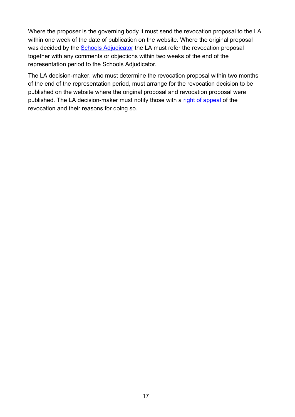Where the proposer is the governing body it must send the revocation proposal to the LA within one week of the date of publication on the website. Where the original proposal was decided by the [Schools Adjudicator](https://www.gov.uk/government/organisations/office-of-the-schools-adjudicator) the LA must refer the revocation proposal together with any comments or objections within two weeks of the end of the representation period to the Schools Adjudicator.

The LA decision-maker, who must determine the revocation proposal within two months of the end of the representation period, must arrange for the revocation decision to be published on the website where the original proposal and revocation proposal were published. The LA decision-maker must notify those with a [right of appeal](#page-14-1) of the revocation and their reasons for doing so.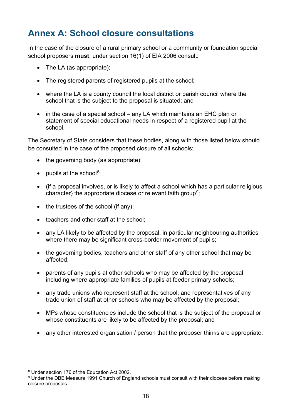# <span id="page-17-0"></span>**Annex A: School closure consultations**

In the case of the closure of a rural primary school or a community or foundation special school proposers **must**, under section 16(1) of EIA 2006 consult:

- The LA (as appropriate);
- The registered parents of registered pupils at the school;
- where the LA is a county council the local district or parish council where the school that is the subject to the proposal is situated; and
- in the case of a special school any LA which maintains an EHC plan or statement of special educational needs in respect of a registered pupil at the school.

The Secretary of State considers that these bodies, along with those listed below should be consulted in the case of the proposed closure of all schools:

- the governing body (as appropriate);
- pupils at the school<sup>[8](#page-17-1)</sup>;
- (if a proposal involves, or is likely to affect a school which has a particular religious character) the appropriate diocese or relevant faith group<sup>[9](#page-17-2)</sup>;
- the trustees of the school (if any);
- teachers and other staff at the school:
- any LA likely to be affected by the proposal, in particular neighbouring authorities where there may be significant cross-border movement of pupils;
- the governing bodies, teachers and other staff of any other school that may be affected;
- parents of any pupils at other schools who may be affected by the proposal including where appropriate families of pupils at feeder primary schools;
- any trade unions who represent staff at the school; and representatives of any trade union of staff at other schools who may be affected by the proposal;
- MPs whose constituencies include the school that is the subject of the proposal or whose constituents are likely to be affected by the proposal; and
- any other interested organisation / person that the proposer thinks are appropriate.

<sup>8</sup> Under section 176 of the Education Act 2002.  $\overline{a}$ 

<span id="page-17-2"></span><span id="page-17-1"></span><sup>9</sup> Under the DBE Measure 1991 Church of England schools must consult with their diocese before making closure proposals.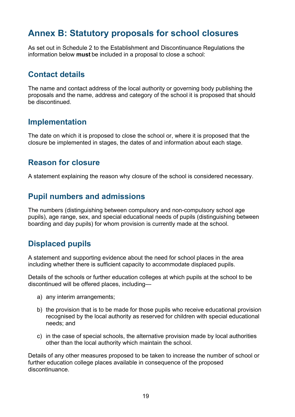## <span id="page-18-0"></span>**Annex B: Statutory proposals for school closures**

As set out in Schedule 2 to the Establishment and Discontinuance Regulations the information below **must** be included in a proposal to close a school:

#### **Contact details**

The name and contact address of the local authority or governing body publishing the proposals and the name, address and category of the school it is proposed that should be discontinued.

#### **Implementation**

The date on which it is proposed to close the school or, where it is proposed that the closure be implemented in stages, the dates of and information about each stage.

#### **Reason for closure**

A statement explaining the reason why closure of the school is considered necessary.

#### **Pupil numbers and admissions**

The numbers (distinguishing between compulsory and non-compulsory school age pupils), age range, sex, and special educational needs of pupils (distinguishing between boarding and day pupils) for whom provision is currently made at the school.

#### **Displaced pupils**

A statement and supporting evidence about the need for school places in the area including whether there is sufficient capacity to accommodate displaced pupils.

Details of the schools or further education colleges at which pupils at the school to be discontinued will be offered places, including—

- a) any interim arrangements;
- b) the provision that is to be made for those pupils who receive educational provision recognised by the local authority as reserved for children with special educational needs; and
- c) in the case of special schools, the alternative provision made by local authorities other than the local authority which maintain the school.

Details of any other measures proposed to be taken to increase the number of school or further education college places available in consequence of the proposed discontinuance.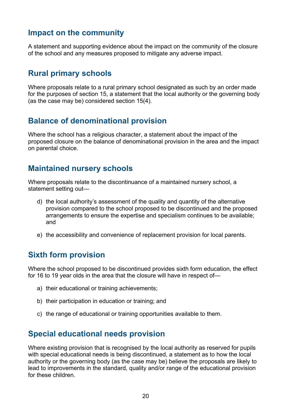#### **Impact on the community**

A statement and supporting evidence about the impact on the community of the closure of the school and any measures proposed to mitigate any adverse impact.

#### **Rural primary schools**

Where proposals relate to a rural primary school designated as such by an order made for the purposes of section 15, a statement that the local authority or the governing body (as the case may be) considered section 15(4).

#### **Balance of denominational provision**

Where the school has a religious character, a statement about the impact of the proposed closure on the balance of denominational provision in the area and the impact on parental choice.

#### **Maintained nursery schools**

Where proposals relate to the discontinuance of a maintained nursery school, a statement setting out—

- d) the local authority's assessment of the quality and quantity of the alternative provision compared to the school proposed to be discontinued and the proposed arrangements to ensure the expertise and specialism continues to be available; and
- e) the accessibility and convenience of replacement provision for local parents.

#### **Sixth form provision**

Where the school proposed to be discontinued provides sixth form education, the effect for 16 to 19 year olds in the area that the closure will have in respect of—

- a) their educational or training achievements;
- b) their participation in education or training; and
- c) the range of educational or training opportunities available to them.

#### **Special educational needs provision**

Where existing provision that is recognised by the local authority as reserved for pupils with special educational needs is being discontinued, a statement as to how the local authority or the governing body (as the case may be) believe the proposals are likely to lead to improvements in the standard, quality and/or range of the educational provision for these children.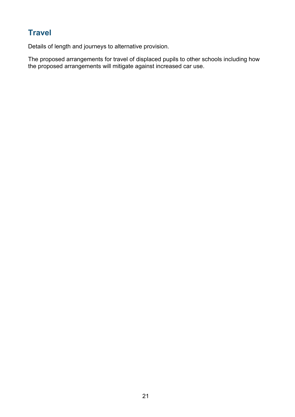## **Travel**

Details of length and journeys to alternative provision.

The proposed arrangements for travel of displaced pupils to other schools including how the proposed arrangements will mitigate against increased car use.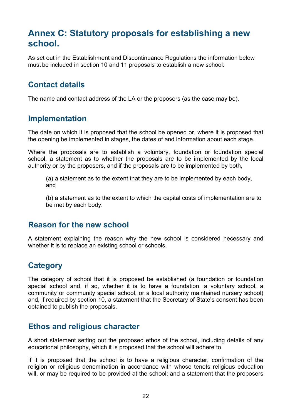## <span id="page-21-0"></span>**Annex C: Statutory proposals for establishing a new school.**

As set out in the Establishment and Discontinuance Regulations the information below must be included in section 10 and 11 proposals to establish a new school:

## **Contact details**

The name and contact address of the LA or the proposers (as the case may be).

#### **Implementation**

The date on which it is proposed that the school be opened or, where it is proposed that the opening be implemented in stages, the dates of and information about each stage.

Where the proposals are to establish a voluntary, foundation or foundation special school, a statement as to whether the proposals are to be implemented by the local authority or by the proposers, and if the proposals are to be implemented by both,

(a) a statement as to the extent that they are to be implemented by each body, and

(b) a statement as to the extent to which the capital costs of implementation are to be met by each body.

#### **Reason for the new school**

A statement explaining the reason why the new school is considered necessary and whether it is to replace an existing school or schools.

#### **Category**

The category of school that it is proposed be established (a foundation or foundation special school and, if so, whether it is to have a foundation, a voluntary school, a community or community special school, or a local authority maintained nursery school) and, if required by section 10, a statement that the Secretary of State's consent has been obtained to publish the proposals.

#### **Ethos and religious character**

A short statement setting out the proposed ethos of the school, including details of any educational philosophy, which it is proposed that the school will adhere to.

If it is proposed that the school is to have a religious character, confirmation of the religion or religious denomination in accordance with whose tenets religious education will, or may be required to be provided at the school; and a statement that the proposers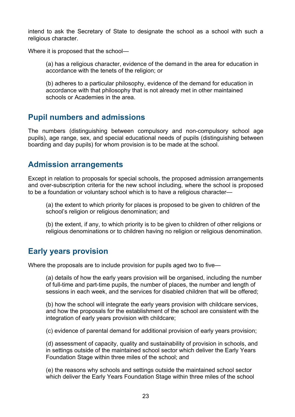intend to ask the Secretary of State to designate the school as a school with such a religious character.

Where it is proposed that the school—

(a) has a religious character, evidence of the demand in the area for education in accordance with the tenets of the religion; or

(b) adheres to a particular philosophy, evidence of the demand for education in accordance with that philosophy that is not already met in other maintained schools or Academies in the area.

#### **Pupil numbers and admissions**

The numbers (distinguishing between compulsory and non-compulsory school age pupils), age range, sex, and special educational needs of pupils (distinguishing between boarding and day pupils) for whom provision is to be made at the school.

#### **Admission arrangements**

Except in relation to proposals for special schools, the proposed admission arrangements and over-subscription criteria for the new school including, where the school is proposed to be a foundation or voluntary school which is to have a religious character—

(a) the extent to which priority for places is proposed to be given to children of the school's religion or religious denomination; and

(b) the extent, if any, to which priority is to be given to children of other religions or religious denominations or to children having no religion or religious denomination.

#### **Early years provision**

Where the proposals are to include provision for pupils aged two to five—

(a) details of how the early years provision will be organised, including the number of full-time and part-time pupils, the number of places, the number and length of sessions in each week, and the services for disabled children that will be offered;

(b) how the school will integrate the early years provision with childcare services, and how the proposals for the establishment of the school are consistent with the integration of early years provision with childcare;

(c) evidence of parental demand for additional provision of early years provision;

(d) assessment of capacity, quality and sustainability of provision in schools, and in settings outside of the maintained school sector which deliver the Early Years Foundation Stage within three miles of the school; and

(e) the reasons why schools and settings outside the maintained school sector which deliver the Early Years Foundation Stage within three miles of the school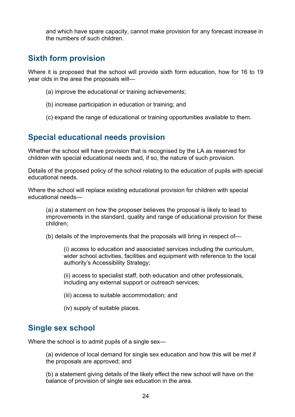and which have spare capacity, cannot make provision for any forecast increase in the numbers of such children.

#### **Sixth form provision**

Where it is proposed that the school will provide sixth form education, how for 16 to 19 year olds in the area the proposals will—

- (a) improve the educational or training achievements;
- (b) increase participation in education or training; and
- (c) expand the range of educational or training opportunities available to them.

#### **Special educational needs provision**

Whether the school will have provision that is recognised by the LA as reserved for children with special educational needs and, if so, the nature of such provision.

Details of the proposed policy of the school relating to the education of pupils with special educational needs.

Where the school will replace existing educational provision for children with special educational needs—

(a) a statement on how the proposer believes the proposal is likely to lead to improvements in the standard, quality and range of educational provision for these children;

(b) details of the improvements that the proposals will bring in respect of—

(i) access to education and associated services including the curriculum, wider school activities, facilities and equipment with reference to the local authority's Accessibility Strategy;

(ii) access to specialist staff, both education and other professionals, including any external support or outreach services;

- (iii) access to suitable accommodation; and
- (iv) supply of suitable places.

#### **Single sex school**

Where the school is to admit pupils of a single sex—

(a) evidence of local demand for single sex education and how this will be met if the proposals are approved; and

(b) a statement giving details of the likely effect the new school will have on the balance of provision of single sex education in the area.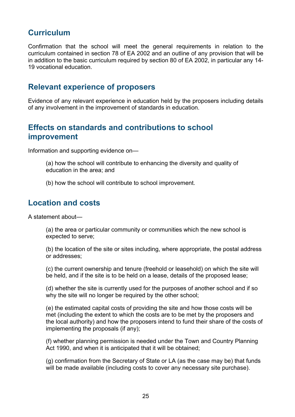#### **Curriculum**

Confirmation that the school will meet the general requirements in relation to the curriculum contained in section 78 of EA 2002 and an outline of any provision that will be in addition to the basic curriculum required by section 80 of EA 2002, in particular any 14- 19 vocational education.

#### **Relevant experience of proposers**

Evidence of any relevant experience in education held by the proposers including details of any involvement in the improvement of standards in education.

#### **Effects on standards and contributions to school improvement**

Information and supporting evidence on—

(a) how the school will contribute to enhancing the diversity and quality of education in the area; and

(b) how the school will contribute to school improvement.

#### **Location and costs**

A statement about—

(a) the area or particular community or communities which the new school is expected to serve;

(b) the location of the site or sites including, where appropriate, the postal address or addresses;

(c) the current ownership and tenure (freehold or leasehold) on which the site will be held, and if the site is to be held on a lease, details of the proposed lease;

(d) whether the site is currently used for the purposes of another school and if so why the site will no longer be required by the other school;

(e) the estimated capital costs of providing the site and how those costs will be met (including the extent to which the costs are to be met by the proposers and the local authority) and how the proposers intend to fund their share of the costs of implementing the proposals (if any);

(f) whether planning permission is needed under the Town and Country Planning Act 1990, and when it is anticipated that it will be obtained;

(g) confirmation from the Secretary of State or LA (as the case may be) that funds will be made available (including costs to cover any necessary site purchase).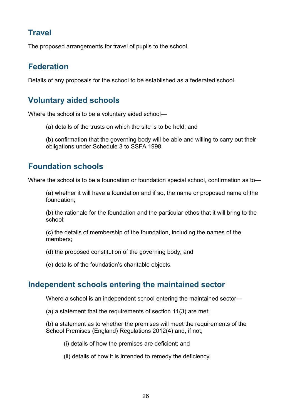## **Travel**

The proposed arrangements for travel of pupils to the school.

## **Federation**

Details of any proposals for the school to be established as a federated school.

## **Voluntary aided schools**

Where the school is to be a voluntary aided school—

(a) details of the trusts on which the site is to be held; and

(b) confirmation that the governing body will be able and willing to carry out their obligations under Schedule 3 to SSFA 1998.

#### **Foundation schools**

Where the school is to be a foundation or foundation special school, confirmation as to—

(a) whether it will have a foundation and if so, the name or proposed name of the foundation;

(b) the rationale for the foundation and the particular ethos that it will bring to the school;

(c) the details of membership of the foundation, including the names of the members;

(d) the proposed constitution of the governing body; and

(e) details of the foundation's charitable objects.

#### **Independent schools entering the maintained sector**

Where a school is an independent school entering the maintained sector—

(a) a statement that the requirements of section 11(3) are met;

(b) a statement as to whether the premises will meet the requirements of the School Premises (England) Regulations 2012[\(4\)](http://www.legislation.gov.uk/uksi/2013/3109/schedule/1/made%23f00040) and, if not,

(i) details of how the premises are deficient; and

(ii) details of how it is intended to remedy the deficiency.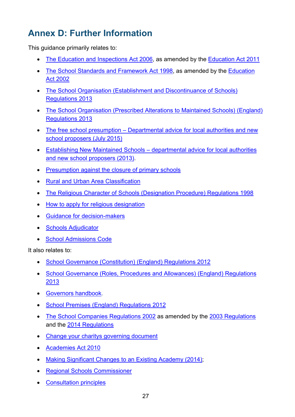# <span id="page-26-0"></span>**Annex D: Further Information**

This guidance primarily relates to:

- [The Education and Inspections Act 2006,](http://www.legislation.gov.uk/ukpga/2006/40/contents) as amended by the [Education Act 2011](http://www.legislation.gov.uk/ukpga/2011/21/contents)
- [The School Standards and Framework Act 1998,](http://www.legislation.gov.uk/ukpga/1998/31/contents) as amended by the [Education](http://www.legislation.gov.uk/ukpga/2002/32/contents)  [Act 2002](http://www.legislation.gov.uk/ukpga/2002/32/contents)
- The School Organisation (Establishment and Discontinuance of Schools) [Regulations 2013](http://www.legislation.gov.uk/uksi/2013/3109/contents/made)
- [The School Organisation \(Prescribed Alterations to Maintained Schools\) \(England\)](http://www.legislation.gov.uk/uksi/2013/3110/contents/made)  [Regulations 2013](http://www.legislation.gov.uk/uksi/2013/3110/contents/made)
- The free school presumption Departmental advice for local authorities and new [school proposers \(July 2015\)](https://www.gov.uk/government/publications/establishing-a-new-school-free-school-presumption)
- Establishing New Maintained Schools [departmental advice for local authorities](https://www.gov.uk/government/publications/establishing-new-maintained-schools)  [and new school proposers \(2013\).](https://www.gov.uk/government/publications/establishing-new-maintained-schools)
- [Presumption against the closure of primary schools](https://www.gov.uk/government/publications/rural-primary-schools-designation)
- [Rural and Urban Area Classification](https://www.gov.uk/government/collections/rural-urban-definition)
- [The Religious Character of Schools \(Designation Procedure\) Regulations 1998](http://www.legislation.gov.uk/uksi/1998/2535/contents/made)
- [How to apply for religious designation](https://www.gov.uk/guidance/religious-character-designation-guide-to-applying)
- [Guidance for decision-makers](https://www.gov.uk/government/publications/school-organisation-maintained-schools)
- [Schools Adjudicator](https://www.gov.uk/government/organisations/office-of-the-schools-adjudicator)
- [School Admissions Code](https://www.gov.uk/government/publications/school-admissions-code--2)

It also relates to:

- [School Governance \(Constitution\) \(England\) Regulations 2012](http://www.legislation.gov.uk/uksi/2012/1034/contents/made)
- [School Governance \(Roles, Procedures and Allowances\) \(England\) Regulations](http://www.legislation.gov.uk/uksi/2013/1624/contents/made)  [2013](http://www.legislation.gov.uk/uksi/2013/1624/contents/made)
- [Governors handbook.](https://www.gov.uk/government/publications/governors-handbook--3)
- [School Premises \(England\) Regulations 2012](http://www.legislation.gov.uk/uksi/2012/1943/contents/made)
- [The School Companies Regulations 2002](http://www.legislation.gov.uk/uksi/2002/2978/contents/made) as amended by the [2003 Regulations](http://www.legislation.gov.uk/uksi/2003/2049/contents/made) and the [2014 Regulations](http://www.legislation.gov.uk/uksi/2014/2923/contents/made)
- [Change your charitys governing document](https://www.gov.uk/change-your-charitys-governing-document)
- [Academies Act 2010](http://www.legislation.gov.uk/ukpga/2010/32/contents)
- [Making Significant Changes to an Existing Academy \(2014\);](https://www.gov.uk/government/publications/making-significant-changes-to-an-existing-academy)
- [Regional Schools Commissioner](https://www.gov.uk/government/organisations/schools-commissioners-group)
- [Consultation principles](https://www.gov.uk/government/publications/consultation-principles-guidance)